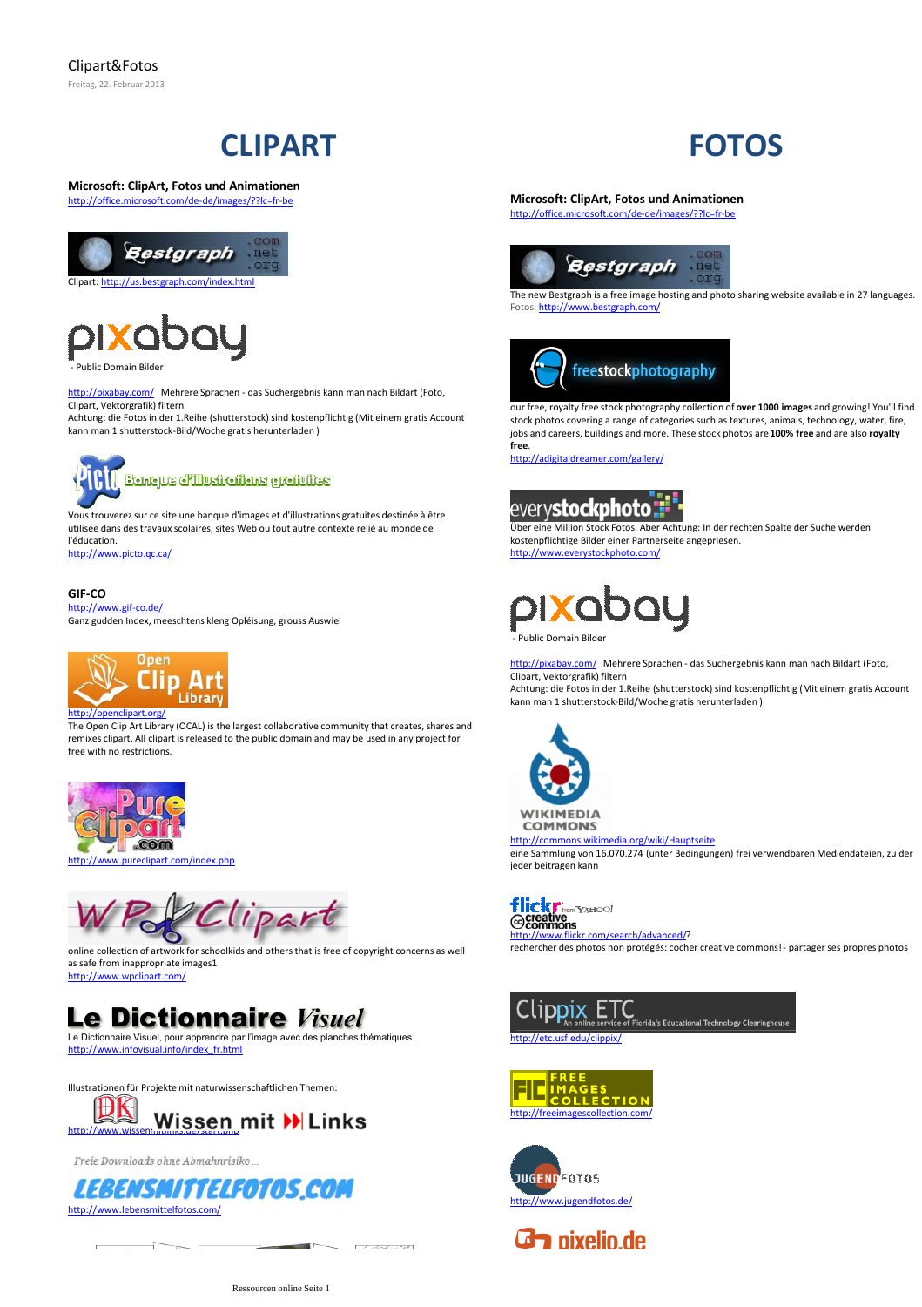## **CLIPART**

#### **Microsoft: ClipArt, Fotos und Animationen** <http://office.microsoft.com/de-de/images/??lc=fr-be>





- Public Domain Bilder

<http://pixabay.com/>Mehrere Sprachen - das Suchergebnis kann man nach Bildart (Foto, Clipart, Vektorgrafik) filtern

Achtung: die Fotos in der 1.Reihe (shutterstock) sind kostenpflichtig (Mit einem gratis Account kann man 1 shutterstock-Bild/Woche gratis herunterladen )



Vous trouverez sur ce site une banque d'images et d'illustrations gratuites destinée à être utilisée dans des travaux scolaires, sites Web ou tout autre contexte relié au monde de l'éducation.

<http://www.picto.qc.ca/>

#### **GIF-CO**

<http://www.gif-co.de/> Ganz gudden Index, meeschtens kleng Opléisung, grouss Auswiel



The Open Clip Art Library (OCAL) is the largest collaborative community that creates, shares and remixes clipart. All clipart is released to the public domain and may be used in any project for free with no restrictions.



lipart

online collection of artwork for schoolkids and others that is free of copyright concerns as well as safe from inappropriate images1 <http://www.wpclipart.com/>

### **Le Dictionnaire Visuel**

Le Dictionnaire Visuel, pour apprendre par l'image avec des planches thématiques [http://www.infovisual.info/index\\_fr.html](http://www.infovisual.info/index_fr.html)



Freie Downloads ohne Abmahnrisiko..



```
\begin{array}{c|c|c|c|c|c} \hline \multicolumn{3}{c|}{\textbf{a}} & \multicolumn{3}{c|}{\textbf{b}} & \multicolumn{3}{c|}{\textbf{c}} \\ \hline \multicolumn{3}{c|}{\textbf{a}} & \multicolumn{3}{c|}{\textbf{a}} & \multicolumn{3}{c|}{\textbf{b}} & \multicolumn{3}{c|}{\textbf{c}} \\ \hline \multicolumn{3}{c|}{\textbf{a}} & \multicolumn{3}{c|}{\textbf{a}} & \multicolumn{3}{c|}{\textbf{b}} & \multicolumn{3}{c|}{\textbf{c}} \\ \hline \multicolumn
```
 $\frac{1}{2} \int_{-\infty}^{\infty} \frac{1}{\sqrt{2}} \int_{-\infty}^{\infty} \frac{1}{\sqrt{2}} \int_{-\infty}^{\infty} \frac{1}{\sqrt{2}} \int_{-\infty}^{\infty} \frac{1}{\sqrt{2}} \int_{-\infty}^{\infty} \frac{1}{\sqrt{2}} \int_{-\infty}^{\infty} \frac{1}{\sqrt{2}} \int_{-\infty}^{\infty} \frac{1}{\sqrt{2}} \int_{-\infty}^{\infty} \frac{1}{\sqrt{2}} \int_{-\infty}^{\infty} \frac{1}{\sqrt{2}} \int_{-\infty}^{\infty} \frac{$ 

# **FOTOS**

**Microsoft: ClipArt, Fotos und Animationen** <http://office.microsoft.com/de-de/images/??lc=fr-be>



The new Bestgraph is a free image hosting and photo sharing website available in 27 languages. Fotos:<http://www.bestgraph.com/>



our free, royalty free stock photography collection of **over 1000 images** and growing! You'll find stock photos covering a range of categories such as textures, animals, technology, water, fire, jobs and careers, buildings and more. These stock photos are **100% free** and are also **royalty free**.

<http://adigitaldreamer.com/gallery/>

### every**stockphoto**:

Über eine Million Stock Fotos. Aber Achtung: In der rechten Spalte der Suche werden kostenpflichtige Bilder einer Partnerseite angepriesen. <http://www.everystockphoto.com/>

**"**<br>- Public Domain Bilder

<http://pixabay.com/>Mehrere Sprachen - das Suchergebnis kann man nach Bildart (Foto, Clipart, Vektorgrafik) filtern

Achtung: die Fotos in der 1.Reihe (shutterstock) sind kostenpflichtig (Mit einem gratis Account kann man 1 shutterstock-Bild/Woche gratis herunterladen )



**COMMONS** 

<http://commons.wikimedia.org/wiki/Hauptseite> eine Sammlung von 16.070.274 (unter Bedingungen) frei verwendbaren Mediendateien, zu der jeder beitragen kann



[http://www.flickr.com/search/advanced/?](http://www.flickr.com/search/advanced/) rechercher des photos non protégés: cocher creative commons! - partager ses propres photos



<http://etc.usf.edu/clippix/>





**G** nixelio.de